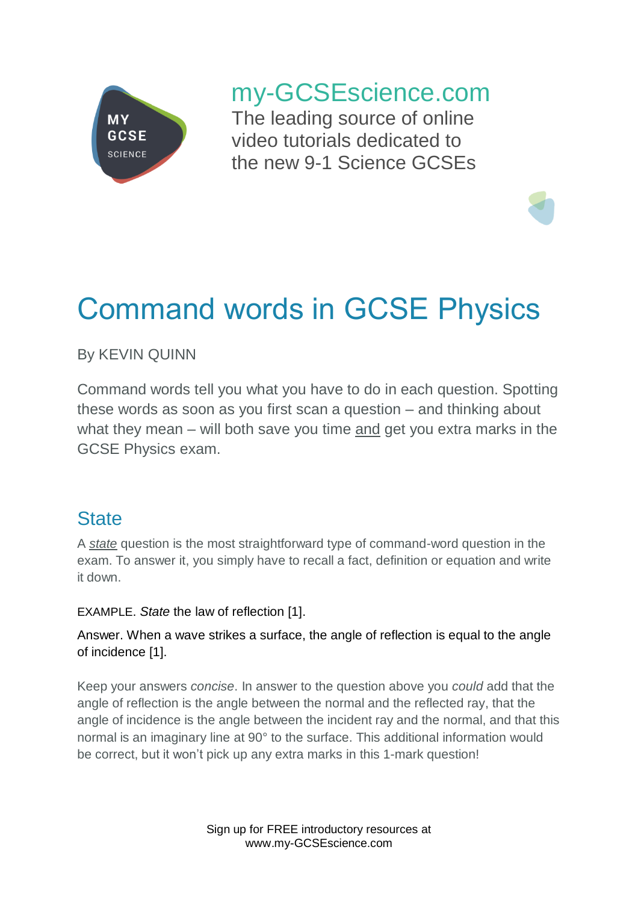

# my-GCSEscience.com

The leading source of online video tutorials dedicated to the new 9-1 Science GCSEs

# Command words in GCSE Physics

By KEVIN QUINN

Command words tell you what you have to do in each question. Spotting these words as soon as you first scan a question – and thinking about what they mean – will both save you time and get you extra marks in the GCSE Physics exam.

# **State**

A *state* question is the most straightforward type of command-word question in the exam. To answer it, you simply have to recall a fact, definition or equation and write it down.

EXAMPLE. *State* the law of reflection [1].

Answer. When a wave strikes a surface, the angle of reflection is equal to the angle of incidence [1].

Keep your answers *concise*. In answer to the question above you *could* add that the angle of reflection is the angle between the normal and the reflected ray, that the angle of incidence is the angle between the incident ray and the normal, and that this normal is an imaginary line at 90° to the surface. This additional information would be correct, but it won't pick up any extra marks in this 1-mark question!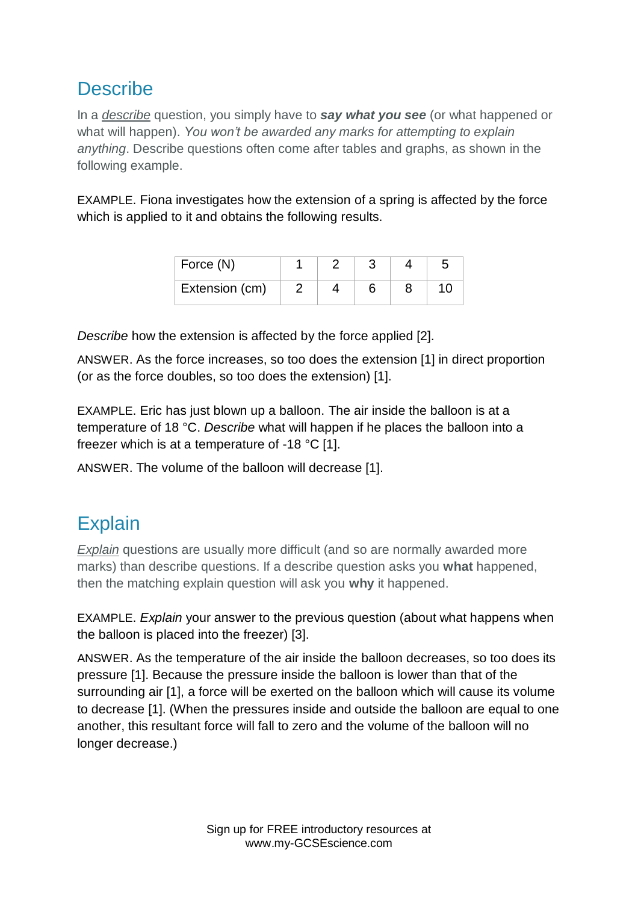# **Describe**

In a *describe* question, you simply have to *say what you see* (or what happened or what will happen). *You won't be awarded any marks for attempting to explain anything*. Describe questions often come after tables and graphs, as shown in the following example.

EXAMPLE. Fiona investigates how the extension of a spring is affected by the force which is applied to it and obtains the following results.

| Force (N)      |  |  |  |
|----------------|--|--|--|
| Extension (cm) |  |  |  |

*Describe* how the extension is affected by the force applied [2].

ANSWER. As the force increases, so too does the extension [1] in direct proportion (or as the force doubles, so too does the extension) [1].

EXAMPLE. Eric has just blown up a balloon. The air inside the balloon is at a temperature of 18 °C. *Describe* what will happen if he places the balloon into a freezer which is at a temperature of -18 °C [1].

ANSWER. The volume of the balloon will decrease [1].

# **Explain**

*Explain* questions are usually more difficult (and so are normally awarded more marks) than describe questions. If a describe question asks you **what** happened, then the matching explain question will ask you **why** it happened.

EXAMPLE. *Explain* your answer to the previous question (about what happens when the balloon is placed into the freezer) [3].

ANSWER. As the temperature of the air inside the balloon decreases, so too does its pressure [1]. Because the pressure inside the balloon is lower than that of the surrounding air [1], a force will be exerted on the balloon which will cause its volume to decrease [1]. (When the pressures inside and outside the balloon are equal to one another, this resultant force will fall to zero and the volume of the balloon will no longer decrease.)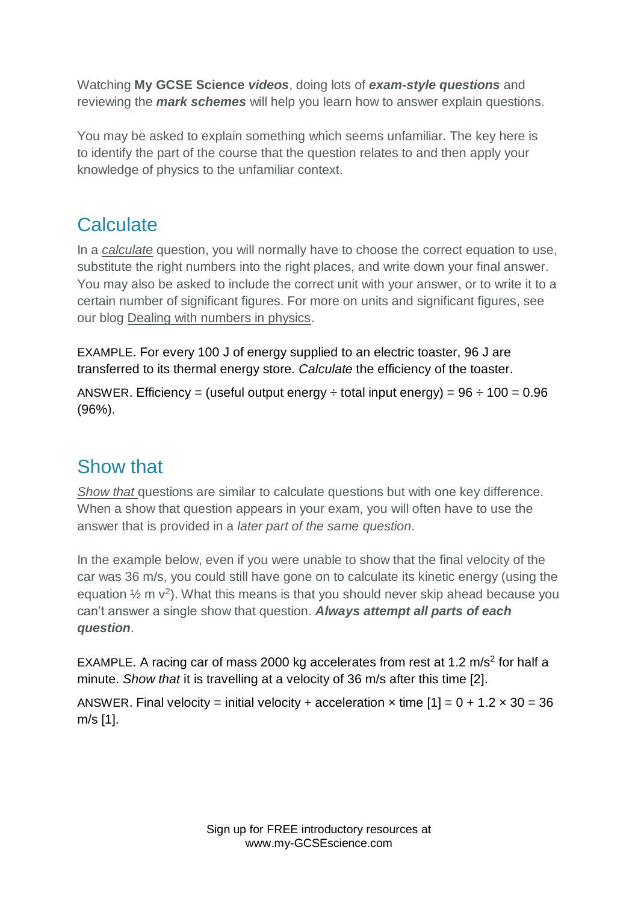Watching **My GCSE Science** *videos*, doing lots of *exam-style questions* and reviewing the *mark schemes* will help you learn how to answer explain questions.

You may be asked to explain something which seems unfamiliar. The key here is to identify the part of the course that the question relates to and then apply your knowledge of physics to the unfamiliar context.

# **Calculate**

In a *calculate* question, you will normally have to choose the correct equation to use, substitute the right numbers into the right places, and write down your final answer. You may also be asked to include the correct unit with your answer, or to write it to a certain number of significant figures. For more on units and significant figures, see our blog Dealing with numbers in physics.

EXAMPLE. For every 100 J of energy supplied to an electric toaster, 96 J are transferred to its thermal energy store. *Calculate* the efficiency of the toaster.

ANSWER. Efficiency = (useful output energy  $\div$  total input energy) =  $96 \div 100 = 0.96$ (96%).

# Show that

*Show that* questions are similar to calculate questions but with one key difference. When a show that question appears in your exam, you will often have to use the answer that is provided in a *later part of the same question*.

In the example below, even if you were unable to show that the final velocity of the car was 36 m/s, you could still have gone on to calculate its kinetic energy (using the equation  $\frac{1}{2}$  m  $v^2$ ). What this means is that you should never skip ahead because you can't answer a single show that question. *Always attempt all parts of each question*.

EXAMPLE. A racing car of mass 2000 kg accelerates from rest at 1.2  $\text{m/s}^2$  for half a minute. *Show that* it is travelling at a velocity of 36 m/s after this time [2].

ANSWER. Final velocity = initial velocity + acceleration  $\times$  time  $[1] = 0 + 1.2 \times 30 = 36$ m/s [1].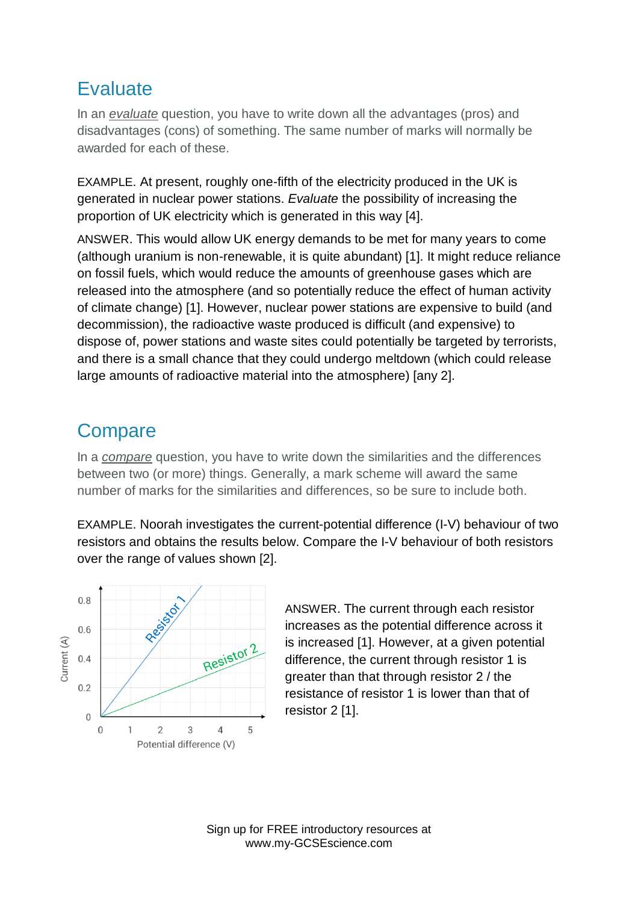#### **Evaluate**

In an *evaluate* question, you have to write down all the advantages (pros) and disadvantages (cons) of something. The same number of marks will normally be awarded for each of these.

EXAMPLE. At present, roughly one-fifth of the electricity produced in the UK is generated in nuclear power stations. *Evaluate* the possibility of increasing the proportion of UK electricity which is generated in this way [4].

ANSWER. This would allow UK energy demands to be met for many years to come (although uranium is non-renewable, it is quite abundant) [1]. It might reduce reliance on fossil fuels, which would reduce the amounts of greenhouse gases which are released into the atmosphere (and so potentially reduce the effect of human activity of climate change) [1]. However, nuclear power stations are expensive to build (and decommission), the radioactive waste produced is difficult (and expensive) to dispose of, power stations and waste sites could potentially be targeted by terrorists, and there is a small chance that they could undergo meltdown (which could release large amounts of radioactive material into the atmosphere) [any 2].

# **Compare**

In a *compare* question, you have to write down the similarities and the differences between two (or more) things. Generally, a mark scheme will award the same number of marks for the similarities and differences, so be sure to include both.

EXAMPLE. Noorah investigates the current-potential difference (I-V) behaviour of two resistors and obtains the results below. Compare the I-V behaviour of both resistors over the range of values shown [2].



ANSWER. The current through each resistor increases as the potential difference across it is increased [1]. However, at a given potential difference, the current through resistor 1 is greater than that through resistor 2 / the resistance of resistor 1 is lower than that of resistor 2 [1].